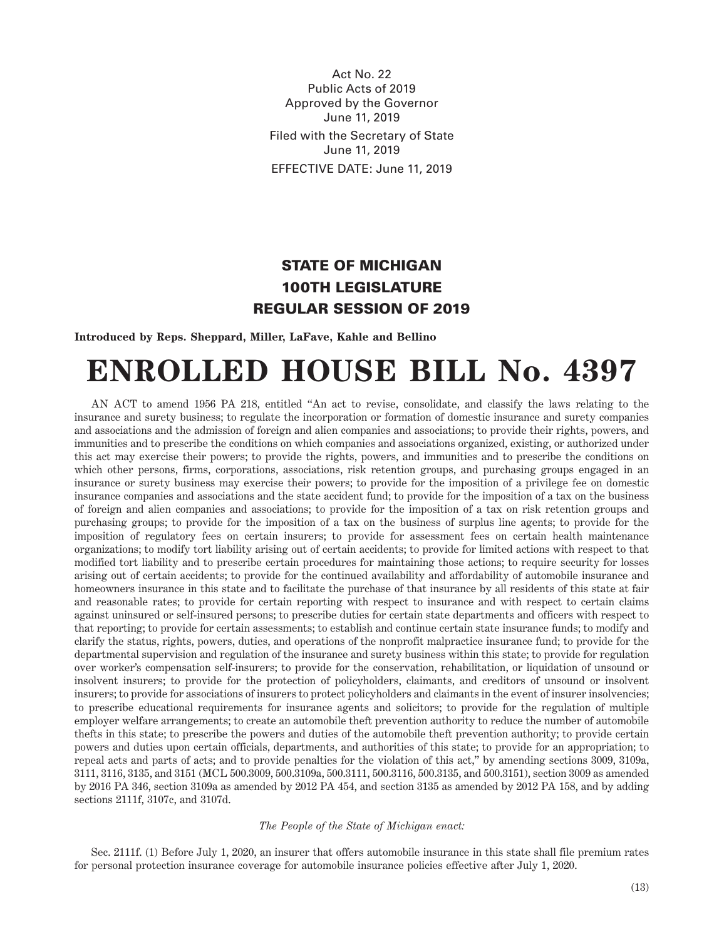Act No. 22 Public Acts of 2019 Approved by the Governor June 11, 2019 Filed with the Secretary of State June 11, 2019 EFFECTIVE DATE: June 11, 2019

## STATE OF MICHIGAN 100TH LEGISLATURE REGULAR SESSION OF 2019

**Introduced by Reps. Sheppard, Miller, LaFave, Kahle and Bellino**

## **ENROLLED HOUSE BILL No. 4397**

AN ACT to amend 1956 PA 218, entitled "An act to revise, consolidate, and classify the laws relating to the insurance and surety business; to regulate the incorporation or formation of domestic insurance and surety companies and associations and the admission of foreign and alien companies and associations; to provide their rights, powers, and immunities and to prescribe the conditions on which companies and associations organized, existing, or authorized under this act may exercise their powers; to provide the rights, powers, and immunities and to prescribe the conditions on which other persons, firms, corporations, associations, risk retention groups, and purchasing groups engaged in an insurance or surety business may exercise their powers; to provide for the imposition of a privilege fee on domestic insurance companies and associations and the state accident fund; to provide for the imposition of a tax on the business of foreign and alien companies and associations; to provide for the imposition of a tax on risk retention groups and purchasing groups; to provide for the imposition of a tax on the business of surplus line agents; to provide for the imposition of regulatory fees on certain insurers; to provide for assessment fees on certain health maintenance organizations; to modify tort liability arising out of certain accidents; to provide for limited actions with respect to that modified tort liability and to prescribe certain procedures for maintaining those actions; to require security for losses arising out of certain accidents; to provide for the continued availability and affordability of automobile insurance and homeowners insurance in this state and to facilitate the purchase of that insurance by all residents of this state at fair and reasonable rates; to provide for certain reporting with respect to insurance and with respect to certain claims against uninsured or self-insured persons; to prescribe duties for certain state departments and officers with respect to that reporting; to provide for certain assessments; to establish and continue certain state insurance funds; to modify and clarify the status, rights, powers, duties, and operations of the nonprofit malpractice insurance fund; to provide for the departmental supervision and regulation of the insurance and surety business within this state; to provide for regulation over worker's compensation self-insurers; to provide for the conservation, rehabilitation, or liquidation of unsound or insolvent insurers; to provide for the protection of policyholders, claimants, and creditors of unsound or insolvent insurers; to provide for associations of insurers to protect policyholders and claimants in the event of insurer insolvencies; to prescribe educational requirements for insurance agents and solicitors; to provide for the regulation of multiple employer welfare arrangements; to create an automobile theft prevention authority to reduce the number of automobile thefts in this state; to prescribe the powers and duties of the automobile theft prevention authority; to provide certain powers and duties upon certain officials, departments, and authorities of this state; to provide for an appropriation; to repeal acts and parts of acts; and to provide penalties for the violation of this act," by amending sections 3009, 3109a, 3111, 3116, 3135, and 3151 (MCL 500.3009, 500.3109a, 500.3111, 500.3116, 500.3135, and 500.3151), section 3009 as amended by 2016 PA 346, section 3109a as amended by 2012 PA 454, and section 3135 as amended by 2012 PA 158, and by adding sections 2111f, 3107c, and 3107d.

## *The People of the State of Michigan enact:*

Sec. 2111f. (1) Before July 1, 2020, an insurer that offers automobile insurance in this state shall file premium rates for personal protection insurance coverage for automobile insurance policies effective after July 1, 2020.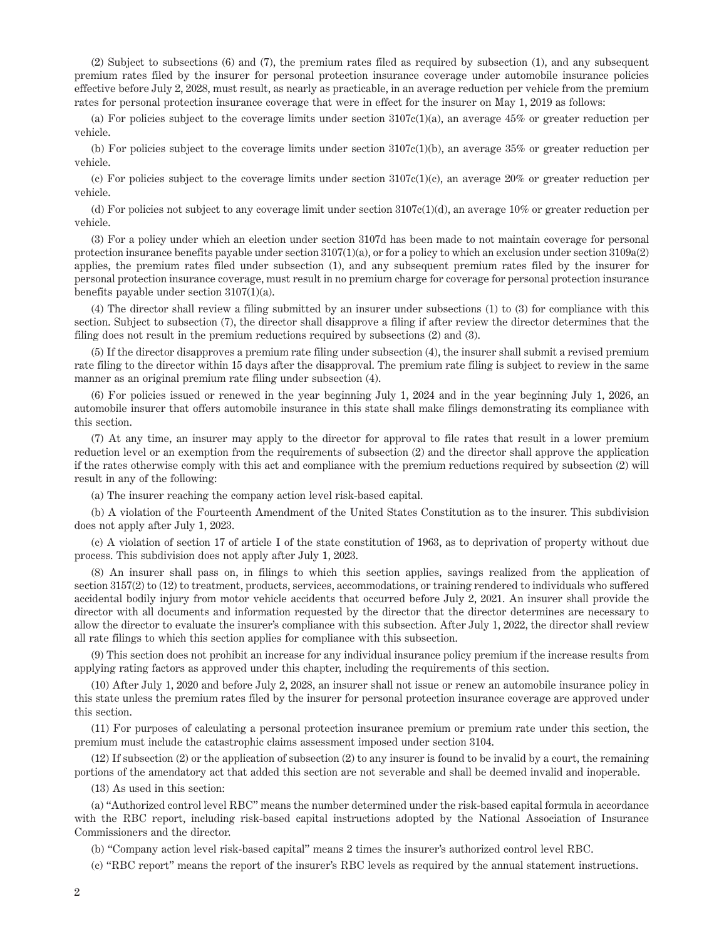(2) Subject to subsections (6) and (7), the premium rates filed as required by subsection (1), and any subsequent premium rates filed by the insurer for personal protection insurance coverage under automobile insurance policies effective before July 2, 2028, must result, as nearly as practicable, in an average reduction per vehicle from the premium rates for personal protection insurance coverage that were in effect for the insurer on May 1, 2019 as follows:

(a) For policies subject to the coverage limits under section  $3107c(1)(a)$ , an average  $45\%$  or greater reduction per vehicle.

(b) For policies subject to the coverage limits under section 3107c(1)(b), an average 35% or greater reduction per vehicle.

(c) For policies subject to the coverage limits under section  $3107c(1)(c)$ , an average  $20\%$  or greater reduction per vehicle.

(d) For policies not subject to any coverage limit under section 3107c(1)(d), an average 10% or greater reduction per vehicle.

(3) For a policy under which an election under section 3107d has been made to not maintain coverage for personal protection insurance benefits payable under section 3107(1)(a), or for a policy to which an exclusion under section 3109a(2) applies, the premium rates filed under subsection (1), and any subsequent premium rates filed by the insurer for personal protection insurance coverage, must result in no premium charge for coverage for personal protection insurance benefits payable under section 3107(1)(a).

(4) The director shall review a filing submitted by an insurer under subsections (1) to (3) for compliance with this section. Subject to subsection (7), the director shall disapprove a filing if after review the director determines that the filing does not result in the premium reductions required by subsections (2) and (3).

(5) If the director disapproves a premium rate filing under subsection (4), the insurer shall submit a revised premium rate filing to the director within 15 days after the disapproval. The premium rate filing is subject to review in the same manner as an original premium rate filing under subsection (4).

(6) For policies issued or renewed in the year beginning July 1, 2024 and in the year beginning July 1, 2026, an automobile insurer that offers automobile insurance in this state shall make filings demonstrating its compliance with this section.

(7) At any time, an insurer may apply to the director for approval to file rates that result in a lower premium reduction level or an exemption from the requirements of subsection (2) and the director shall approve the application if the rates otherwise comply with this act and compliance with the premium reductions required by subsection (2) will result in any of the following:

(a) The insurer reaching the company action level risk-based capital.

(b) A violation of the Fourteenth Amendment of the United States Constitution as to the insurer. This subdivision does not apply after July 1, 2023.

(c) A violation of section 17 of article I of the state constitution of 1963, as to deprivation of property without due process. This subdivision does not apply after July 1, 2023.

(8) An insurer shall pass on, in filings to which this section applies, savings realized from the application of section 3157(2) to (12) to treatment, products, services, accommodations, or training rendered to individuals who suffered accidental bodily injury from motor vehicle accidents that occurred before July 2, 2021. An insurer shall provide the director with all documents and information requested by the director that the director determines are necessary to allow the director to evaluate the insurer's compliance with this subsection. After July 1, 2022, the director shall review all rate filings to which this section applies for compliance with this subsection.

(9) This section does not prohibit an increase for any individual insurance policy premium if the increase results from applying rating factors as approved under this chapter, including the requirements of this section.

(10) After July 1, 2020 and before July 2, 2028, an insurer shall not issue or renew an automobile insurance policy in this state unless the premium rates filed by the insurer for personal protection insurance coverage are approved under this section.

(11) For purposes of calculating a personal protection insurance premium or premium rate under this section, the premium must include the catastrophic claims assessment imposed under section 3104.

(12) If subsection (2) or the application of subsection (2) to any insurer is found to be invalid by a court, the remaining portions of the amendatory act that added this section are not severable and shall be deemed invalid and inoperable.

(13) As used in this section:

(a) "Authorized control level RBC" means the number determined under the risk-based capital formula in accordance with the RBC report, including risk-based capital instructions adopted by the National Association of Insurance Commissioners and the director.

(b) "Company action level risk-based capital" means 2 times the insurer's authorized control level RBC.

(c) "RBC report" means the report of the insurer's RBC levels as required by the annual statement instructions.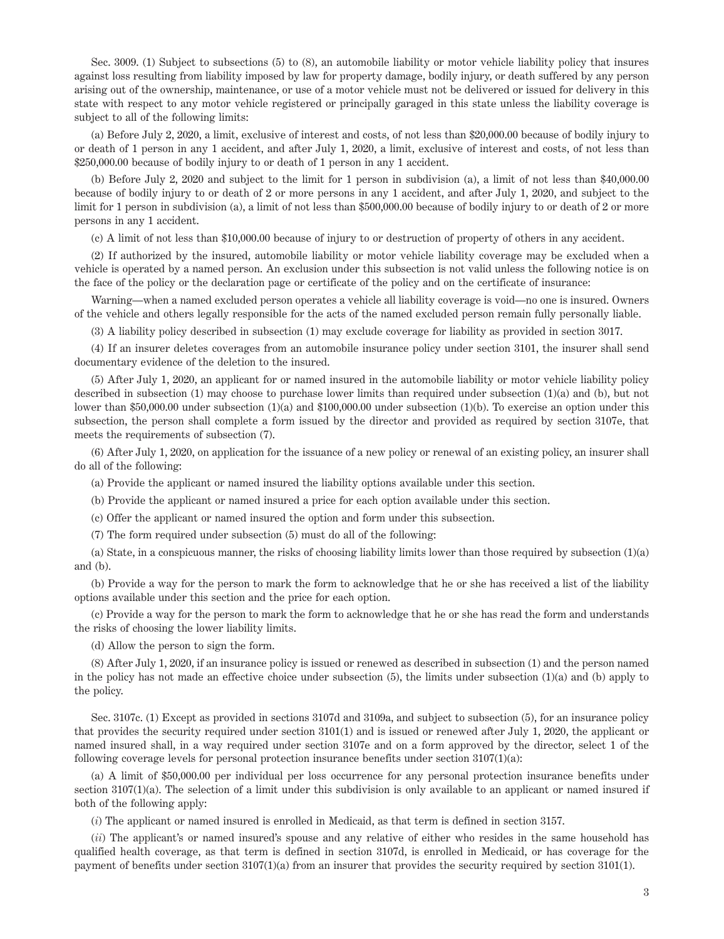Sec. 3009. (1) Subject to subsections (5) to (8), an automobile liability or motor vehicle liability policy that insures against loss resulting from liability imposed by law for property damage, bodily injury, or death suffered by any person arising out of the ownership, maintenance, or use of a motor vehicle must not be delivered or issued for delivery in this state with respect to any motor vehicle registered or principally garaged in this state unless the liability coverage is subject to all of the following limits:

(a) Before July 2, 2020, a limit, exclusive of interest and costs, of not less than \$20,000.00 because of bodily injury to or death of 1 person in any 1 accident, and after July 1, 2020, a limit, exclusive of interest and costs, of not less than \$250,000.00 because of bodily injury to or death of 1 person in any 1 accident.

(b) Before July 2, 2020 and subject to the limit for 1 person in subdivision (a), a limit of not less than \$40,000.00 because of bodily injury to or death of 2 or more persons in any 1 accident, and after July 1, 2020, and subject to the limit for 1 person in subdivision (a), a limit of not less than \$500,000.00 because of bodily injury to or death of 2 or more persons in any 1 accident.

(c) A limit of not less than \$10,000.00 because of injury to or destruction of property of others in any accident.

(2) If authorized by the insured, automobile liability or motor vehicle liability coverage may be excluded when a vehicle is operated by a named person. An exclusion under this subsection is not valid unless the following notice is on the face of the policy or the declaration page or certificate of the policy and on the certificate of insurance:

Warning—when a named excluded person operates a vehicle all liability coverage is void—no one is insured. Owners of the vehicle and others legally responsible for the acts of the named excluded person remain fully personally liable.

(3) A liability policy described in subsection (1) may exclude coverage for liability as provided in section 3017.

(4) If an insurer deletes coverages from an automobile insurance policy under section 3101, the insurer shall send documentary evidence of the deletion to the insured.

(5) After July 1, 2020, an applicant for or named insured in the automobile liability or motor vehicle liability policy described in subsection (1) may choose to purchase lower limits than required under subsection (1)(a) and (b), but not lower than \$50,000.00 under subsection (1)(a) and \$100,000.00 under subsection (1)(b). To exercise an option under this subsection, the person shall complete a form issued by the director and provided as required by section 3107e, that meets the requirements of subsection (7).

(6) After July 1, 2020, on application for the issuance of a new policy or renewal of an existing policy, an insurer shall do all of the following:

(a) Provide the applicant or named insured the liability options available under this section.

(b) Provide the applicant or named insured a price for each option available under this section.

(c) Offer the applicant or named insured the option and form under this subsection.

(7) The form required under subsection (5) must do all of the following:

(a) State, in a conspicuous manner, the risks of choosing liability limits lower than those required by subsection (1)(a) and (b).

(b) Provide a way for the person to mark the form to acknowledge that he or she has received a list of the liability options available under this section and the price for each option.

(c) Provide a way for the person to mark the form to acknowledge that he or she has read the form and understands the risks of choosing the lower liability limits.

(d) Allow the person to sign the form.

(8) After July 1, 2020, if an insurance policy is issued or renewed as described in subsection (1) and the person named in the policy has not made an effective choice under subsection (5), the limits under subsection (1)(a) and (b) apply to the policy.

Sec. 3107c. (1) Except as provided in sections 3107d and 3109a, and subject to subsection (5), for an insurance policy that provides the security required under section 3101(1) and is issued or renewed after July 1, 2020, the applicant or named insured shall, in a way required under section 3107e and on a form approved by the director, select 1 of the following coverage levels for personal protection insurance benefits under section  $3107(1)(a)$ :

(a) A limit of \$50,000.00 per individual per loss occurrence for any personal protection insurance benefits under section 3107(1)(a). The selection of a limit under this subdivision is only available to an applicant or named insured if both of the following apply:

(*i*) The applicant or named insured is enrolled in Medicaid, as that term is defined in section 3157.

(*ii*) The applicant's or named insured's spouse and any relative of either who resides in the same household has qualified health coverage, as that term is defined in section 3107d, is enrolled in Medicaid, or has coverage for the payment of benefits under section 3107(1)(a) from an insurer that provides the security required by section 3101(1).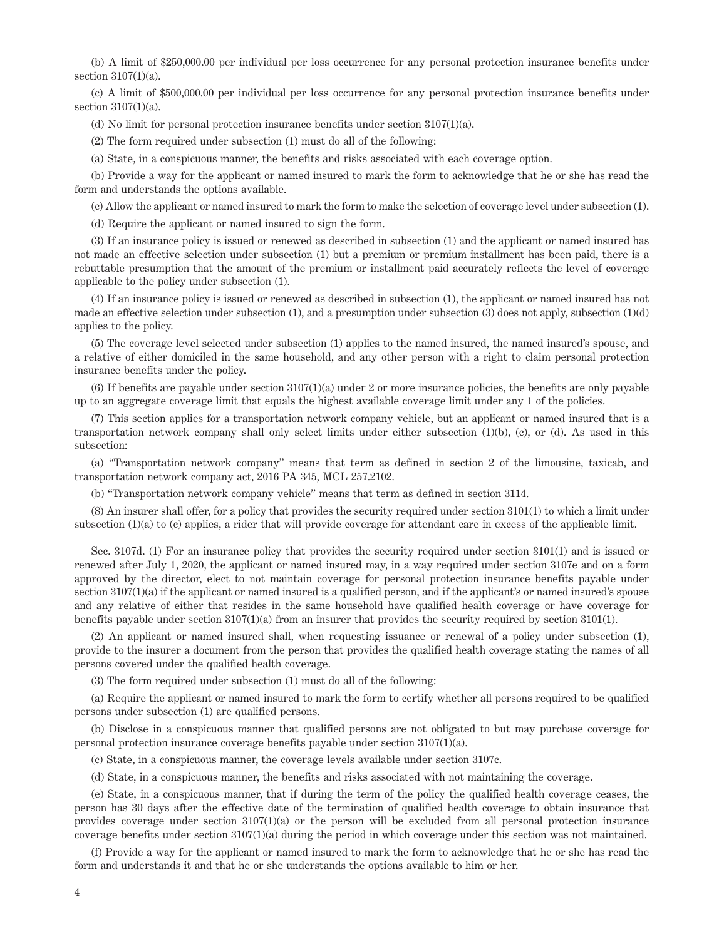(b) A limit of \$250,000.00 per individual per loss occurrence for any personal protection insurance benefits under section 3107(1)(a).

(c) A limit of \$500,000.00 per individual per loss occurrence for any personal protection insurance benefits under section 3107(1)(a).

(d) No limit for personal protection insurance benefits under section 3107(1)(a).

(2) The form required under subsection (1) must do all of the following:

(a) State, in a conspicuous manner, the benefits and risks associated with each coverage option.

(b) Provide a way for the applicant or named insured to mark the form to acknowledge that he or she has read the form and understands the options available.

(c) Allow the applicant or named insured to mark the form to make the selection of coverage level under subsection (1).

(d) Require the applicant or named insured to sign the form.

(3) If an insurance policy is issued or renewed as described in subsection (1) and the applicant or named insured has not made an effective selection under subsection (1) but a premium or premium installment has been paid, there is a rebuttable presumption that the amount of the premium or installment paid accurately reflects the level of coverage applicable to the policy under subsection (1).

(4) If an insurance policy is issued or renewed as described in subsection (1), the applicant or named insured has not made an effective selection under subsection (1), and a presumption under subsection (3) does not apply, subsection (1)(d) applies to the policy.

(5) The coverage level selected under subsection (1) applies to the named insured, the named insured's spouse, and a relative of either domiciled in the same household, and any other person with a right to claim personal protection insurance benefits under the policy.

(6) If benefits are payable under section 3107(1)(a) under 2 or more insurance policies, the benefits are only payable up to an aggregate coverage limit that equals the highest available coverage limit under any 1 of the policies.

(7) This section applies for a transportation network company vehicle, but an applicant or named insured that is a transportation network company shall only select limits under either subsection (1)(b), (c), or (d). As used in this subsection:

(a) "Transportation network company" means that term as defined in section 2 of the limousine, taxicab, and transportation network company act, 2016 PA 345, MCL 257.2102.

(b) "Transportation network company vehicle" means that term as defined in section 3114.

(8) An insurer shall offer, for a policy that provides the security required under section 3101(1) to which a limit under subsection (1)(a) to (c) applies, a rider that will provide coverage for attendant care in excess of the applicable limit.

Sec. 3107d. (1) For an insurance policy that provides the security required under section 3101(1) and is issued or renewed after July 1, 2020, the applicant or named insured may, in a way required under section 3107e and on a form approved by the director, elect to not maintain coverage for personal protection insurance benefits payable under section 3107(1)(a) if the applicant or named insured is a qualified person, and if the applicant's or named insured's spouse and any relative of either that resides in the same household have qualified health coverage or have coverage for benefits payable under section 3107(1)(a) from an insurer that provides the security required by section 3101(1).

(2) An applicant or named insured shall, when requesting issuance or renewal of a policy under subsection (1), provide to the insurer a document from the person that provides the qualified health coverage stating the names of all persons covered under the qualified health coverage.

(3) The form required under subsection (1) must do all of the following:

(a) Require the applicant or named insured to mark the form to certify whether all persons required to be qualified persons under subsection (1) are qualified persons.

(b) Disclose in a conspicuous manner that qualified persons are not obligated to but may purchase coverage for personal protection insurance coverage benefits payable under section 3107(1)(a).

(c) State, in a conspicuous manner, the coverage levels available under section 3107c.

(d) State, in a conspicuous manner, the benefits and risks associated with not maintaining the coverage.

(e) State, in a conspicuous manner, that if during the term of the policy the qualified health coverage ceases, the person has 30 days after the effective date of the termination of qualified health coverage to obtain insurance that provides coverage under section  $3107(1)(a)$  or the person will be excluded from all personal protection insurance coverage benefits under section 3107(1)(a) during the period in which coverage under this section was not maintained.

(f) Provide a way for the applicant or named insured to mark the form to acknowledge that he or she has read the form and understands it and that he or she understands the options available to him or her.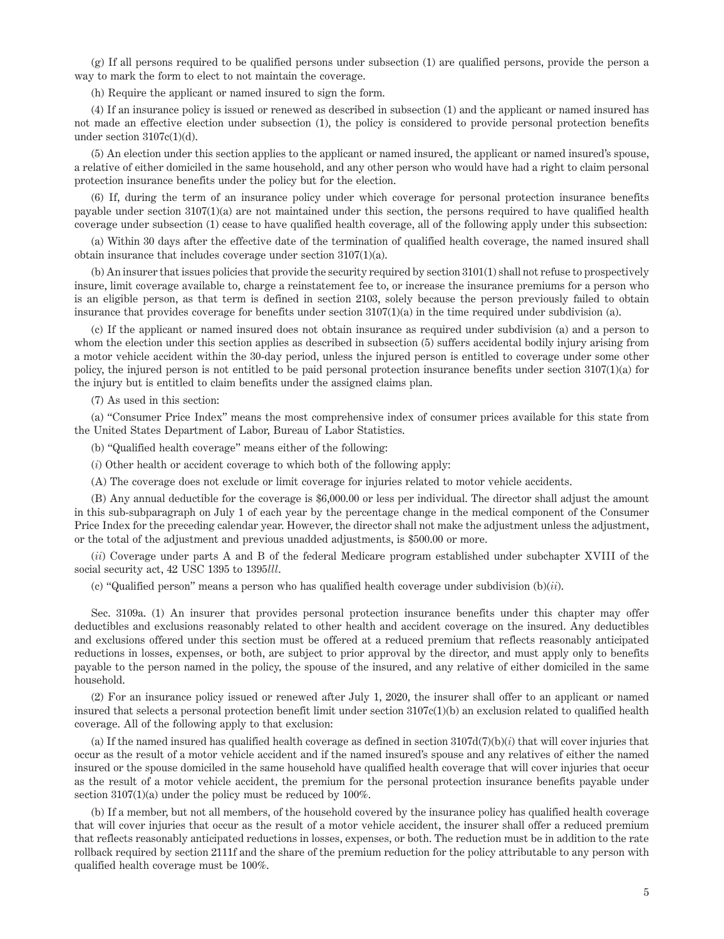(g) If all persons required to be qualified persons under subsection (1) are qualified persons, provide the person a way to mark the form to elect to not maintain the coverage.

(h) Require the applicant or named insured to sign the form.

(4) If an insurance policy is issued or renewed as described in subsection (1) and the applicant or named insured has not made an effective election under subsection (1), the policy is considered to provide personal protection benefits under section  $3107c(1)(d)$ .

(5) An election under this section applies to the applicant or named insured, the applicant or named insured's spouse, a relative of either domiciled in the same household, and any other person who would have had a right to claim personal protection insurance benefits under the policy but for the election.

(6) If, during the term of an insurance policy under which coverage for personal protection insurance benefits payable under section 3107(1)(a) are not maintained under this section, the persons required to have qualified health coverage under subsection (1) cease to have qualified health coverage, all of the following apply under this subsection:

(a) Within 30 days after the effective date of the termination of qualified health coverage, the named insured shall obtain insurance that includes coverage under section 3107(1)(a).

(b) An insurer that issues policies that provide the security required by section 3101(1) shall not refuse to prospectively insure, limit coverage available to, charge a reinstatement fee to, or increase the insurance premiums for a person who is an eligible person, as that term is defined in section 2103, solely because the person previously failed to obtain insurance that provides coverage for benefits under section  $3107(1)(a)$  in the time required under subdivision (a).

(c) If the applicant or named insured does not obtain insurance as required under subdivision (a) and a person to whom the election under this section applies as described in subsection (5) suffers accidental bodily injury arising from a motor vehicle accident within the 30-day period, unless the injured person is entitled to coverage under some other policy, the injured person is not entitled to be paid personal protection insurance benefits under section 3107(1)(a) for the injury but is entitled to claim benefits under the assigned claims plan.

(7) As used in this section:

(a) "Consumer Price Index" means the most comprehensive index of consumer prices available for this state from the United States Department of Labor, Bureau of Labor Statistics.

(b) "Qualified health coverage" means either of the following:

(*i*) Other health or accident coverage to which both of the following apply:

(A) The coverage does not exclude or limit coverage for injuries related to motor vehicle accidents.

(B) Any annual deductible for the coverage is \$6,000.00 or less per individual. The director shall adjust the amount in this sub-subparagraph on July 1 of each year by the percentage change in the medical component of the Consumer Price Index for the preceding calendar year. However, the director shall not make the adjustment unless the adjustment, or the total of the adjustment and previous unadded adjustments, is \$500.00 or more.

(*ii*) Coverage under parts A and B of the federal Medicare program established under subchapter XVIII of the social security act, 42 USC 1395 to 1395*lll*.

(c) "Qualified person" means a person who has qualified health coverage under subdivision (b)(*ii*).

Sec. 3109a. (1) An insurer that provides personal protection insurance benefits under this chapter may offer deductibles and exclusions reasonably related to other health and accident coverage on the insured. Any deductibles and exclusions offered under this section must be offered at a reduced premium that reflects reasonably anticipated reductions in losses, expenses, or both, are subject to prior approval by the director, and must apply only to benefits payable to the person named in the policy, the spouse of the insured, and any relative of either domiciled in the same household.

(2) For an insurance policy issued or renewed after July 1, 2020, the insurer shall offer to an applicant or named insured that selects a personal protection benefit limit under section 3107c(1)(b) an exclusion related to qualified health coverage. All of the following apply to that exclusion:

(a) If the named insured has qualified health coverage as defined in section  $3107d(7)(b)(i)$  that will cover injuries that occur as the result of a motor vehicle accident and if the named insured's spouse and any relatives of either the named insured or the spouse domiciled in the same household have qualified health coverage that will cover injuries that occur as the result of a motor vehicle accident, the premium for the personal protection insurance benefits payable under section  $3107(1)(a)$  under the policy must be reduced by  $100\%$ .

(b) If a member, but not all members, of the household covered by the insurance policy has qualified health coverage that will cover injuries that occur as the result of a motor vehicle accident, the insurer shall offer a reduced premium that reflects reasonably anticipated reductions in losses, expenses, or both. The reduction must be in addition to the rate rollback required by section 2111f and the share of the premium reduction for the policy attributable to any person with qualified health coverage must be 100%.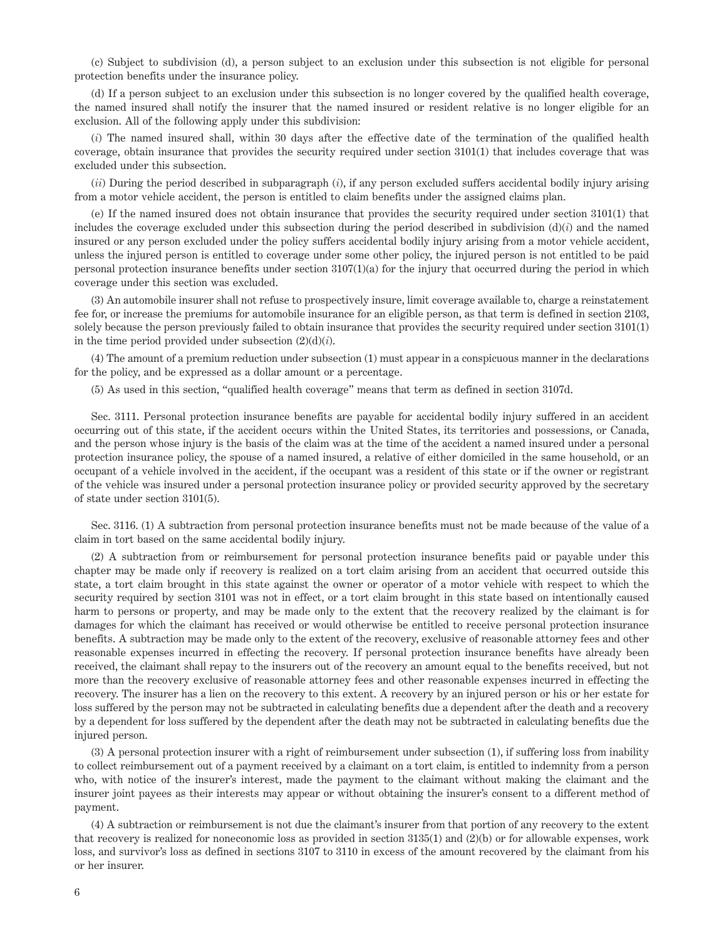(c) Subject to subdivision (d), a person subject to an exclusion under this subsection is not eligible for personal protection benefits under the insurance policy.

(d) If a person subject to an exclusion under this subsection is no longer covered by the qualified health coverage, the named insured shall notify the insurer that the named insured or resident relative is no longer eligible for an exclusion. All of the following apply under this subdivision:

(*i*) The named insured shall, within 30 days after the effective date of the termination of the qualified health coverage, obtain insurance that provides the security required under section 3101(1) that includes coverage that was excluded under this subsection.

(*ii*) During the period described in subparagraph (*i*), if any person excluded suffers accidental bodily injury arising from a motor vehicle accident, the person is entitled to claim benefits under the assigned claims plan.

(e) If the named insured does not obtain insurance that provides the security required under section 3101(1) that includes the coverage excluded under this subsection during the period described in subdivision (d)(*i*) and the named insured or any person excluded under the policy suffers accidental bodily injury arising from a motor vehicle accident, unless the injured person is entitled to coverage under some other policy, the injured person is not entitled to be paid personal protection insurance benefits under section 3107(1)(a) for the injury that occurred during the period in which coverage under this section was excluded.

(3) An automobile insurer shall not refuse to prospectively insure, limit coverage available to, charge a reinstatement fee for, or increase the premiums for automobile insurance for an eligible person, as that term is defined in section 2103, solely because the person previously failed to obtain insurance that provides the security required under section 3101(1) in the time period provided under subsection (2)(d)(*i*).

(4) The amount of a premium reduction under subsection (1) must appear in a conspicuous manner in the declarations for the policy, and be expressed as a dollar amount or a percentage.

(5) As used in this section, "qualified health coverage" means that term as defined in section 3107d.

Sec. 3111. Personal protection insurance benefits are payable for accidental bodily injury suffered in an accident occurring out of this state, if the accident occurs within the United States, its territories and possessions, or Canada, and the person whose injury is the basis of the claim was at the time of the accident a named insured under a personal protection insurance policy, the spouse of a named insured, a relative of either domiciled in the same household, or an occupant of a vehicle involved in the accident, if the occupant was a resident of this state or if the owner or registrant of the vehicle was insured under a personal protection insurance policy or provided security approved by the secretary of state under section 3101(5).

Sec. 3116. (1) A subtraction from personal protection insurance benefits must not be made because of the value of a claim in tort based on the same accidental bodily injury.

(2) A subtraction from or reimbursement for personal protection insurance benefits paid or payable under this chapter may be made only if recovery is realized on a tort claim arising from an accident that occurred outside this state, a tort claim brought in this state against the owner or operator of a motor vehicle with respect to which the security required by section 3101 was not in effect, or a tort claim brought in this state based on intentionally caused harm to persons or property, and may be made only to the extent that the recovery realized by the claimant is for damages for which the claimant has received or would otherwise be entitled to receive personal protection insurance benefits. A subtraction may be made only to the extent of the recovery, exclusive of reasonable attorney fees and other reasonable expenses incurred in effecting the recovery. If personal protection insurance benefits have already been received, the claimant shall repay to the insurers out of the recovery an amount equal to the benefits received, but not more than the recovery exclusive of reasonable attorney fees and other reasonable expenses incurred in effecting the recovery. The insurer has a lien on the recovery to this extent. A recovery by an injured person or his or her estate for loss suffered by the person may not be subtracted in calculating benefits due a dependent after the death and a recovery by a dependent for loss suffered by the dependent after the death may not be subtracted in calculating benefits due the injured person.

(3) A personal protection insurer with a right of reimbursement under subsection (1), if suffering loss from inability to collect reimbursement out of a payment received by a claimant on a tort claim, is entitled to indemnity from a person who, with notice of the insurer's interest, made the payment to the claimant without making the claimant and the insurer joint payees as their interests may appear or without obtaining the insurer's consent to a different method of payment.

(4) A subtraction or reimbursement is not due the claimant's insurer from that portion of any recovery to the extent that recovery is realized for noneconomic loss as provided in section 3135(1) and (2)(b) or for allowable expenses, work loss, and survivor's loss as defined in sections 3107 to 3110 in excess of the amount recovered by the claimant from his or her insurer.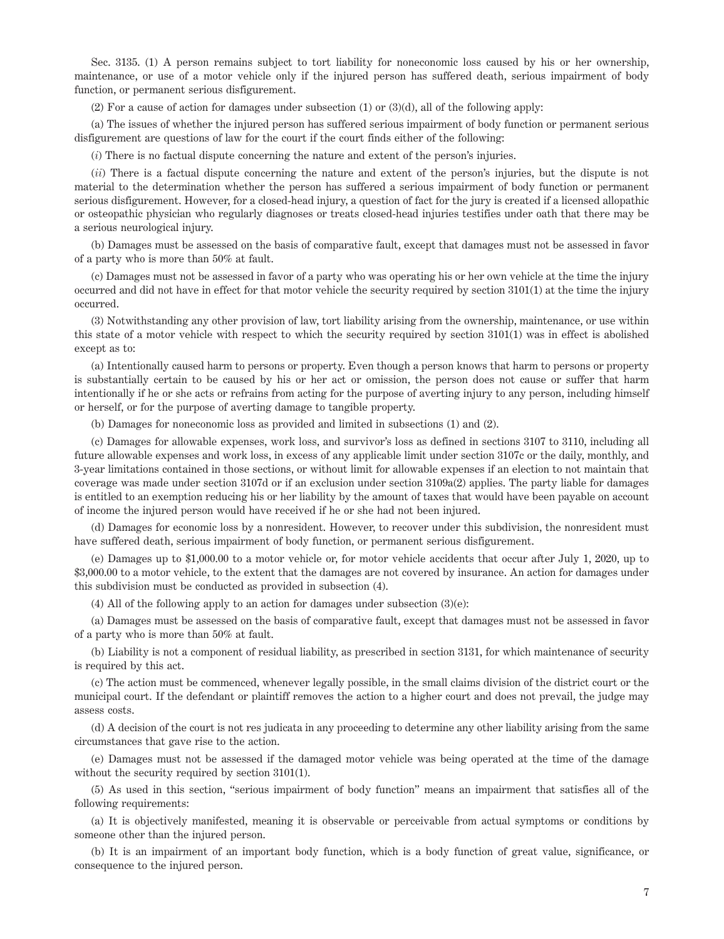Sec. 3135. (1) A person remains subject to tort liability for noneconomic loss caused by his or her ownership, maintenance, or use of a motor vehicle only if the injured person has suffered death, serious impairment of body function, or permanent serious disfigurement.

(2) For a cause of action for damages under subsection (1) or (3)(d), all of the following apply:

(a) The issues of whether the injured person has suffered serious impairment of body function or permanent serious disfigurement are questions of law for the court if the court finds either of the following:

(*i*) There is no factual dispute concerning the nature and extent of the person's injuries.

(*ii*) There is a factual dispute concerning the nature and extent of the person's injuries, but the dispute is not material to the determination whether the person has suffered a serious impairment of body function or permanent serious disfigurement. However, for a closed-head injury, a question of fact for the jury is created if a licensed allopathic or osteopathic physician who regularly diagnoses or treats closed-head injuries testifies under oath that there may be a serious neurological injury.

(b) Damages must be assessed on the basis of comparative fault, except that damages must not be assessed in favor of a party who is more than 50% at fault.

(c) Damages must not be assessed in favor of a party who was operating his or her own vehicle at the time the injury occurred and did not have in effect for that motor vehicle the security required by section 3101(1) at the time the injury occurred.

(3) Notwithstanding any other provision of law, tort liability arising from the ownership, maintenance, or use within this state of a motor vehicle with respect to which the security required by section 3101(1) was in effect is abolished except as to:

(a) Intentionally caused harm to persons or property. Even though a person knows that harm to persons or property is substantially certain to be caused by his or her act or omission, the person does not cause or suffer that harm intentionally if he or she acts or refrains from acting for the purpose of averting injury to any person, including himself or herself, or for the purpose of averting damage to tangible property.

(b) Damages for noneconomic loss as provided and limited in subsections (1) and (2).

(c) Damages for allowable expenses, work loss, and survivor's loss as defined in sections 3107 to 3110, including all future allowable expenses and work loss, in excess of any applicable limit under section 3107c or the daily, monthly, and 3-year limitations contained in those sections, or without limit for allowable expenses if an election to not maintain that coverage was made under section 3107d or if an exclusion under section 3109a(2) applies. The party liable for damages is entitled to an exemption reducing his or her liability by the amount of taxes that would have been payable on account of income the injured person would have received if he or she had not been injured.

(d) Damages for economic loss by a nonresident. However, to recover under this subdivision, the nonresident must have suffered death, serious impairment of body function, or permanent serious disfigurement.

(e) Damages up to \$1,000.00 to a motor vehicle or, for motor vehicle accidents that occur after July 1, 2020, up to \$3,000.00 to a motor vehicle, to the extent that the damages are not covered by insurance. An action for damages under this subdivision must be conducted as provided in subsection (4).

(4) All of the following apply to an action for damages under subsection (3)(e):

(a) Damages must be assessed on the basis of comparative fault, except that damages must not be assessed in favor of a party who is more than 50% at fault.

(b) Liability is not a component of residual liability, as prescribed in section 3131, for which maintenance of security is required by this act.

(c) The action must be commenced, whenever legally possible, in the small claims division of the district court or the municipal court. If the defendant or plaintiff removes the action to a higher court and does not prevail, the judge may assess costs.

(d) A decision of the court is not res judicata in any proceeding to determine any other liability arising from the same circumstances that gave rise to the action.

(e) Damages must not be assessed if the damaged motor vehicle was being operated at the time of the damage without the security required by section 3101(1).

(5) As used in this section, "serious impairment of body function" means an impairment that satisfies all of the following requirements:

(a) It is objectively manifested, meaning it is observable or perceivable from actual symptoms or conditions by someone other than the injured person.

(b) It is an impairment of an important body function, which is a body function of great value, significance, or consequence to the injured person.